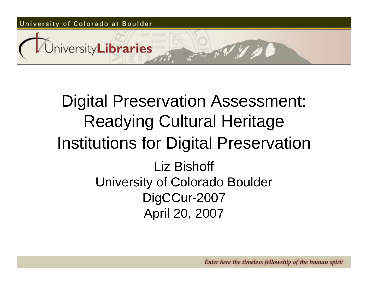#### Digital Preservation Assessment: Readying Cultural Heritage Institutions for Digital Preservation Liz Bishoff University of Colorado Boulder DigCCur-2007 April 20, 2007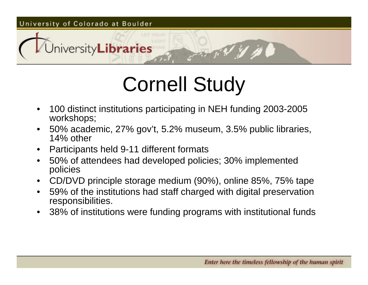# Cornell Study

- • 100 distinct institutions participating in NEH funding 2003-2005 workshops;
- • 50% academic, 27% gov't, 5.2% museum, 3.5% public libraries, 14% other
- •Participants held 9-11 different formats
- • 50% of attendees had developed policies; 30% implemented policies
- •CD/DVD principle storage medium (90%), online 85%, 75% tape
- • 59% of the institutions had staff charged with digital preservation responsibilities.
- •38% of institutions were funding programs with institutional funds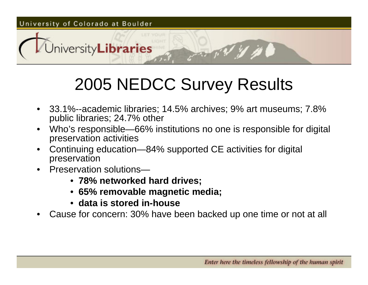#### 2005 NEDCC Survey Results

- • 33.1%--academic libraries; 14.5% archives; 9% art museums; 7.8% public libraries; 24.7% other
- • Who's responsible—66% institutions no one is responsible for digital preservation activities
- • Continuing education—84% supported CE activities for digital preservation
- • Preservation solutions—
	- **78% networked hard drives;**
	- **65% removable magnetic media;**
	- **data is stored in-house**
- •Cause for concern: 30% have been backed up one time or not at all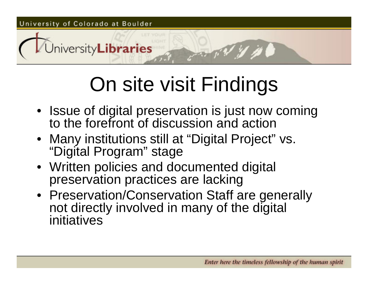# On site visit Findings

- Issue of digital preservation is just now coming to the forefront of discussion and action
- Many institutions still at "Digital Project" vs. "Digital Program" stage
- Written policies and documented digital preservation practices are lacking
- Preservation/Conservation Staff are generally not directly involved in many of the digital initiatives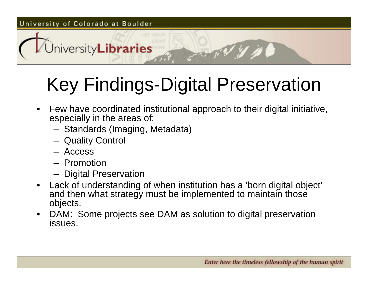### Key Findings-Digital Preservation

- $\bullet$  Few have coordinated institutional approach to their digital initiative, especially in the areas of:
	- Standards (Imaging, Metadata)
	- Quality Control
	- Access
	- Promotion
	- Digital Preservation
- • Lack of understanding of when institution has a 'born digital object' and then what strategy must be implemented to maintain those objects.
- • DAM: Some projects see DAM as solution to digital preservation issues.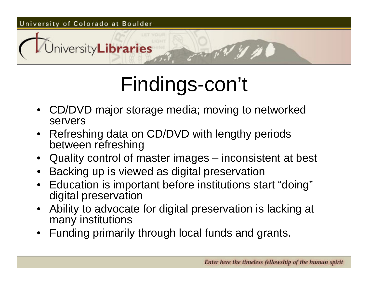# Findings-con't

- • CD/DVD major storage media; moving to networked servers
- • Refreshing data on CD/DVD with lengthy periods between refreshing
- Quality control of master images inconsistent at best
- •Backing up is viewed as digital preservation
- Education is important before institutions start "doing" digital preservation
- • Ability to advocate for digital preservation is lacking at many institutions
- •Funding primarily through local funds and grants.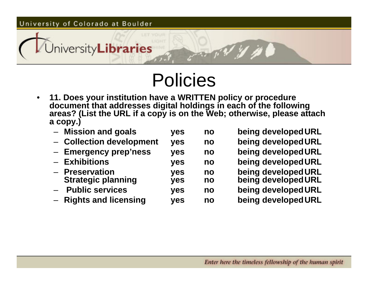

### Policies

- • **11. Does your institution have a WRITTEN policy or procedure document that addresses digital holdings in each of the following areas? (List the URL if a copy is on the Web; otherwise, please attach a copy.)**
	- **Mission and goals yes no being developedURL**
	- **Collection development yes no being developedURL**
	- –**Emergency prep'ness yes no being developedURL**
	- Exhibitions
	- Preservation **Strategic planning yes no being developedURL**
	- **Public services yes no being developedURL**
	- **Rights and licensing yes no being developedURL**

 **Exhibitions yes no being developedURL Preservation yes no being developedURL**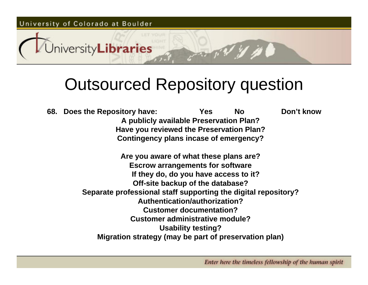#### Outsourced Repository question

**68. Does the Repository have: Yes No Don't know A publicly available Preservation Plan? Have you reviewed the Preservation Plan? Contingency plans incase of emergency? Are you aware of what these plans are? Escrow arrangements for software If they do, do you have access to it? Off-site backup of the database? Separate professional staff supporting the digital repository? Authentication/authorization?Customer documentation?Customer administrative module?Usability testing? Migration strategy (may be part of preservation plan)**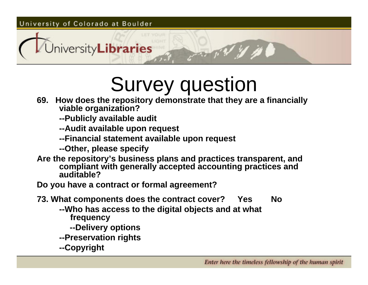## Survey question

- **69. How does the repository demonstrate that they are a financially viable organization?**
	- **--Publicly available audit**
	- **--Audit available upon request**
	- **--Financial statement available upon request**
	- **--Other, please specify**
- **Are the repository's business plans and practices transparent, and compliant with generally accepted accounting practices and auditable?**
- **Do you have a contract or formal agreement?**
- **73. What components does the contract cover? Yes No**
	- **--Who has access to the digital objects and at what frequency**
		- **--Delivery options**
	- **--Preservation rights**
	- **--Copyright**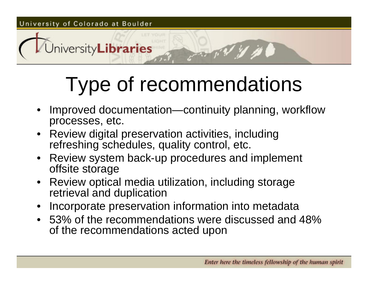# Type of recommendations

- • Improved documentation—continuity planning, workflow processes, etc.
- Review digital preservation activities, including refreshing schedules, quality control, etc.
- Review system back-up procedures and implement offsite storage
- • Review optical media utilization, including storage retrieval and duplication
- •Incorporate preservation information into metadata
- 53% of the recommendations were discussed and 48% of the recommendations acted upon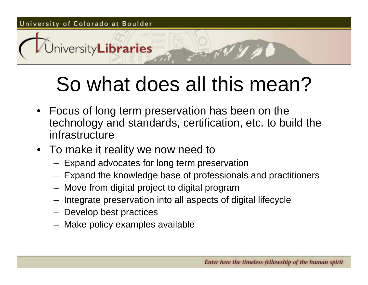## So what does all this mean?

- Focus of long term preservation has been on the technology and standards, certification, etc. to build the infrastructure
- To make it reality we now need to
	- Expand advocates for long term preservation
	- Expand the knowledge base of professionals and practitioners
	- Move from digital project to digital program
	- Integrate preservation into all aspects of digital lifecycle
	- Develop best practices
	- Make policy examples available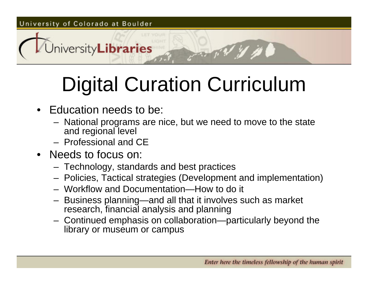# Digital Curation Curriculum

• Education needs to be:

University**Libraries** 

- National programs are nice, but we need to move to the state and regional level
- Professional and CE
- Needs to focus on:
	- Technology, standards and best practices
	- Policies, Tactical strategies (Development and implementation)
	- Workflow and Documentation—How to do it
	- – Business planning—and all that it involves such as market research, financial analysis and planning
	- Continued emphasis on collaboration—particularly beyond the library or museum or campus